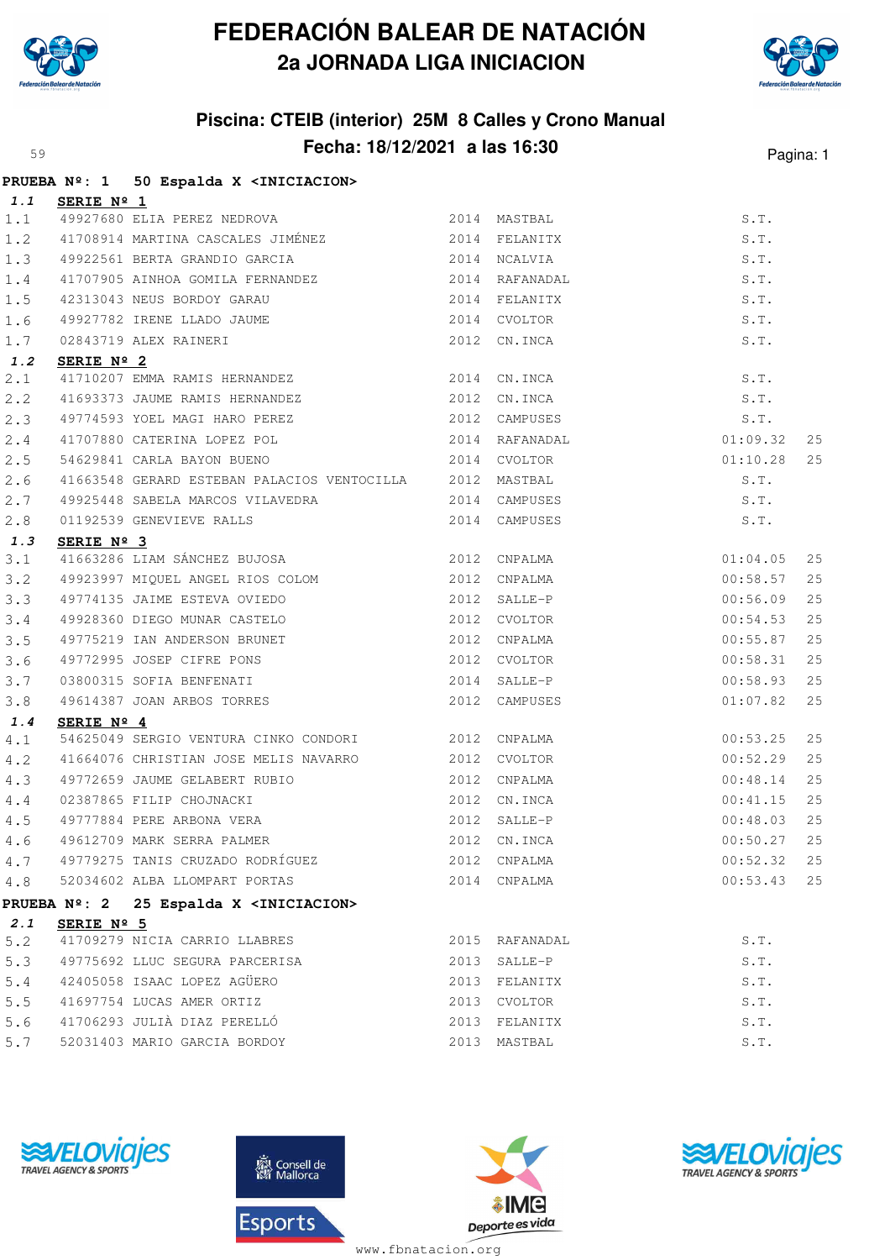

## **FEDERACIÓN BALEAR DE NATACIÓN 2a JORNADA LIGA INICIACION**



## **Piscina: CTEIB (interior) 25M 8 Calles y Crono Manual Fecha: 18/12/2021 a las 16:30** Pagina: 1

|       |                | PRUEBA Nº: 1 50 Espalda X <iniciacion></iniciacion>                                                                                                         |                |                    |    |
|-------|----------------|-------------------------------------------------------------------------------------------------------------------------------------------------------------|----------------|--------------------|----|
|       | 1.1 SERIE Nº 1 |                                                                                                                                                             |                |                    |    |
| 1.1   |                | 49927680 ELIA PEREZ NEDROVA 2014 MASTBAL                                                                                                                    |                | S.T.               |    |
| 1.2   |                |                                                                                                                                                             |                | S.T.               |    |
| 1.3   |                | 49922561 BERTA GRANDIO GARCIA (2014) NCALVIA                                                                                                                |                | S.T.               |    |
| 1.4   |                | 41707905 AINHOA GOMILA FERNANDEZ<br>42212049 YEVE 5 100 J                                                                                                   |                | S.T.               |    |
| 1.5   |                |                                                                                                                                                             |                | S.T.               |    |
| 1.6   |                |                                                                                                                                                             |                | S.T.               |    |
| 1.7   |                | 42313043 NEUS BORDOY GARAU 2014 FELANITX<br>49927782 IRENE LLADO JAUME 2014 CVOLTOR<br>02843719 ALEX RAINERI 2012 CN.INCA<br><b>SERIE Nº 2</b>              |                | S.T.               |    |
| 1.2   | SERIE Nº 2     |                                                                                                                                                             |                |                    |    |
| 2.1   |                | 41710207 EMMA RAMIS HERNANDEZ 2014 CN.INCA                                                                                                                  |                | S.T.               |    |
| 2.2   |                | 41693373 JAUME RAMIS HERNANDEZ 2012 CN.INCA                                                                                                                 |                | S.T.               |    |
| 2.3   |                | 49774593 YOEL MAGI HARO PEREZ 2012 CAMPUSES                                                                                                                 |                | S.T.               |    |
| 2.4   |                | 2014 RAFANADAL<br>41707880 CATERINA LOPEZ POL                                                                                                               |                | 01:09.32           | 25 |
| 2.5   |                | 54629841 CARLA BAYON BUENO                                                                                                                                  | 2014 CVOLTOR   | 01:10.28           | 25 |
| 2.6   |                | 41663548 GERARD ESTEBAN PALACIOS VENTOCILLA 2012 MASTBAL                                                                                                    |                | S.T.               |    |
| 2.7   |                |                                                                                                                                                             |                | S.T.               |    |
| 2.8   |                | 01192539 GENEVIEVE RALLS 2014 CAMPUSES                                                                                                                      |                | S.T.               |    |
| 1.3   | SERIE Nº 3     |                                                                                                                                                             |                |                    |    |
| 3.1   |                | 41663286 LIAM SÁNCHEZ BUJOSA 2012 CNPALMA                                                                                                                   |                | 01:04.05           | 25 |
| 3.2   |                | 49923997 MIQUEL ANGEL RIOS COLOM 2012 CNPALMA                                                                                                               |                | 00:58.57           | 25 |
| 3.3   |                |                                                                                                                                                             |                | 00:56.09           | 25 |
| 3.4   |                |                                                                                                                                                             |                | 00:54.53           | 25 |
| 3.5   |                | 49775219 IAN ANDERSON BRUNET 2012 CNPALMA                                                                                                                   |                | 00:55.87           | 25 |
| 3.6   |                |                                                                                                                                                             |                | 00:58.31           | 25 |
| 3.7   |                |                                                                                                                                                             |                | 00:58.93           | 25 |
| 3.8   |                |                                                                                                                                                             |                | 01:07.82           | 25 |
| 1.4   | SERIE Nº 4     |                                                                                                                                                             |                |                    |    |
| 4.1   |                | 54625049 SERGIO VENTURA CINKO CONDORI 2012 CNPALMA                                                                                                          |                | 00:53.25           | 25 |
| 4.2   |                | 41664076 CHRISTIAN JOSE MELIS NAVARRO 2012 CVOLTOR                                                                                                          |                | 00:52.29           | 25 |
| 4.3   |                |                                                                                                                                                             |                | 00:48.14           | 25 |
| $4.4$ |                | 49772659 JAUME GELABERT RUBIO<br>02387865 FILIP CHOJNACKI 2012 CN.INCA<br>49777884 PERE ARBONA VERA 2012 SALLE-P<br>49612709 MARK SERRA PALMER 2012 CN.INCA |                | 00:41.15           | 25 |
| 4.5   |                |                                                                                                                                                             |                | 00:48.03           | 25 |
| 4.6   |                |                                                                                                                                                             |                | 00:50.27           | 25 |
| 4.7   |                | 49779275 TANIS CRUZADO RODRÍGUEZ                                                                                                                            | 2012 CNPALMA   | 00:52.32           | 25 |
| $4.8$ |                | 52034602 ALBA LLOMPART PORTAS                                                                                                                               | 2014 CNPALMA   | 00:53.43           | 25 |
|       |                | PRUEBA Nº: 2 25 Espalda X <iniciacion></iniciacion>                                                                                                         |                |                    |    |
| 2.1   | SERIE Nº 5     |                                                                                                                                                             |                |                    |    |
| 5.2   |                | 41709279 NICIA CARRIO LLABRES                                                                                                                               | 2015 RAFANADAL | S.T.               |    |
| 5.3   |                | 49775692 LLUC SEGURA PARCERISA                                                                                                                              | 2013 SALLE-P   | S.T.               |    |
| $5.4$ |                | 42405058 ISAAC LOPEZ AGÜERO                                                                                                                                 | 2013 FELANITX  | S.T.               |    |
| $5.5$ |                | 41697754 LUCAS AMER ORTIZ                                                                                                                                   | 2013 CVOLTOR   | S.T.               |    |
| 5.6   |                | 41706293 JULIÀ DIAZ PERELLÓ                                                                                                                                 | 2013 FELANITX  | $\texttt{S}$ . T . |    |
|       |                | 5.7 52031403 MARIO GARCIA BORDOY                                                                                                                            | 2013 MASTBAL   | S.T.               |    |